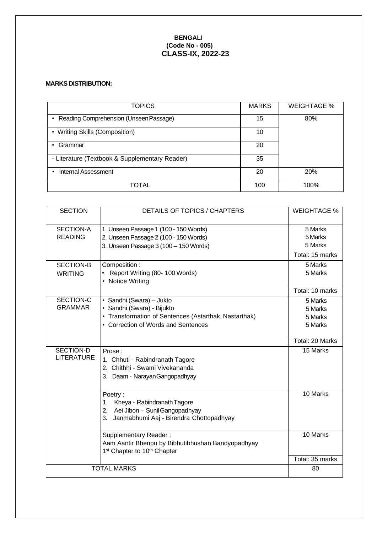## **BENGALI (Code No - 005) CLASS-IX, 2022-23**

## **MARKS DISTRIBUTION:**

| <b>TOPICS</b>                                  | <b>MARKS</b> | <b>WEIGHTAGE %</b> |
|------------------------------------------------|--------------|--------------------|
| Reading Comprehension (Unseen Passage)<br>٠    | 15           | 80%                |
| • Writing Skills (Composition)                 | 10           |                    |
| Grammar                                        | 20           |                    |
| - Literature (Textbook & Supplementary Reader) | 35           |                    |
| Internal Assessment                            | 20           | 20%                |
| TOTAL                                          | 100          | 100%               |

| <b>SECTION</b>    | DETAILS OF TOPICS / CHAPTERS                          | <b>WEIGHTAGE %</b> |
|-------------------|-------------------------------------------------------|--------------------|
|                   |                                                       |                    |
| <b>SECTION-A</b>  | 1. Unseen Passage 1 (100 - 150 Words)                 | 5 Marks            |
| <b>READING</b>    | 2. Unseen Passage 2 (100 - 150 Words)                 | 5 Marks            |
|                   | 3. Unseen Passage 3 (100 - 150 Words)                 | 5 Marks            |
|                   |                                                       | Total: 15 marks    |
| <b>SECTION-B</b>  | Composition:                                          | 5 Marks            |
| <b>WRITING</b>    | Report Writing (80-100 Words)                         | 5 Marks            |
|                   | • Notice Writing                                      |                    |
|                   |                                                       | Total: 10 marks    |
| SECTION-C         | · Sandhi (Swara) - Jukto                              | 5 Marks            |
| <b>GRAMMAR</b>    | · Sandhi (Swara) - Bijukto                            | 5 Marks            |
|                   | • Transformation of Sentences (Astarthak, Nastarthak) | 5 Marks            |
|                   | • Correction of Words and Sentences                   | 5 Marks            |
|                   |                                                       |                    |
|                   |                                                       | Total: 20 Marks    |
| SECTION-D         | Prose:                                                | 15 Marks           |
| <b>LITERATURE</b> | 1. Chhuti - Rabindranath Tagore                       |                    |
|                   | 2. Chithhi - Swami Vivekananda                        |                    |
|                   | 3. Daam - Narayan Gangopadhyay                        |                    |
|                   |                                                       |                    |
|                   | Poetry:                                               | 10 Marks           |
|                   | Kheya - Rabindranath Tagore<br>$\mathbf{1}$ .         |                    |
|                   | 2. Aei Jibon - Sunil Gangopadhyay                     |                    |
|                   | Janmabhumi Aaj - Birendra Chottopadhyay<br>3.         |                    |
|                   | Supplementary Reader:                                 | 10 Marks           |
|                   | Aam Aantir Bhenpu by Bibhutibhushan Bandyopadhyay     |                    |
|                   | 1 <sup>st</sup> Chapter to 10 <sup>th</sup> Chapter   |                    |
|                   |                                                       | Total: 35 marks    |
|                   | <b>TOTAL MARKS</b>                                    | 80                 |
|                   |                                                       |                    |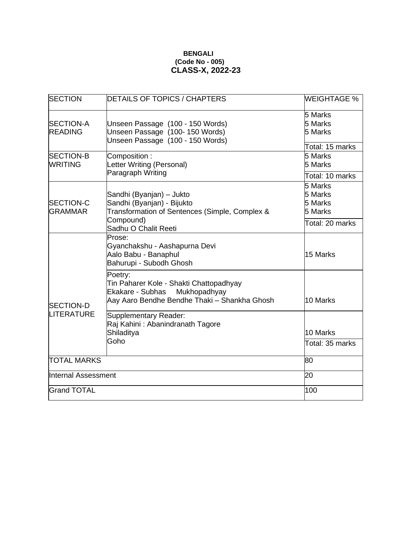## **BENGALI (Code No - 005) CLASS-X, 2022-23**

| <b>SECTION</b>                        | <b>DETAILS OF TOPICS / CHAPTERS</b>                                                                                                           | <b>WEIGHTAGE %</b>                                          |
|---------------------------------------|-----------------------------------------------------------------------------------------------------------------------------------------------|-------------------------------------------------------------|
| <b>SECTION-A</b><br><b>READING</b>    | Unseen Passage (100 - 150 Words)<br>Unseen Passage (100-150 Words)<br>Unseen Passage (100 - 150 Words)                                        | 5 Marks<br>5 Marks<br>5 Marks<br>Total: 15 marks            |
| <b>SECTION-B</b><br><b>WRITING</b>    | Composition:<br>Letter Writing (Personal)<br>Paragraph Writing                                                                                | 5 Marks<br>5 Marks<br>Total: 10 marks                       |
| <b>SECTION-C</b><br><b>GRAMMAR</b>    | Sandhi (Byanjan) - Jukto<br>Sandhi (Byanjan) - Bijukto<br>Transformation of Sentences (Simple, Complex &<br>Compound)<br>Sadhu O Chalit Reeti | 5 Marks<br>5 Marks<br>5 Marks<br>5 Marks<br>Total: 20 marks |
|                                       | Prose:<br>Gyanchakshu - Aashapurna Devi<br>Aalo Babu - Banaphul<br>Bahurupi - Subodh Ghosh                                                    | 15 Marks                                                    |
| <b>SECTION-D</b><br><b>LITERATURE</b> | Poetry:<br>Tin Paharer Kole - Shakti Chattopadhyay<br>Ekakare - Subhas Mukhopadhyay<br>Aay Aaro Bendhe Bendhe Thaki - Shankha Ghosh           | 10 Marks                                                    |
|                                       | Supplementary Reader:<br>Raj Kahini: Abanindranath Tagore<br>Shiladitya<br>Goho                                                               | 10 Marks<br>Total: 35 marks                                 |
| <b>TOTAL MARKS</b>                    |                                                                                                                                               | 80                                                          |
| <b>Internal Assessment</b>            |                                                                                                                                               | 20                                                          |
| <b>Grand TOTAL</b>                    |                                                                                                                                               | 100                                                         |